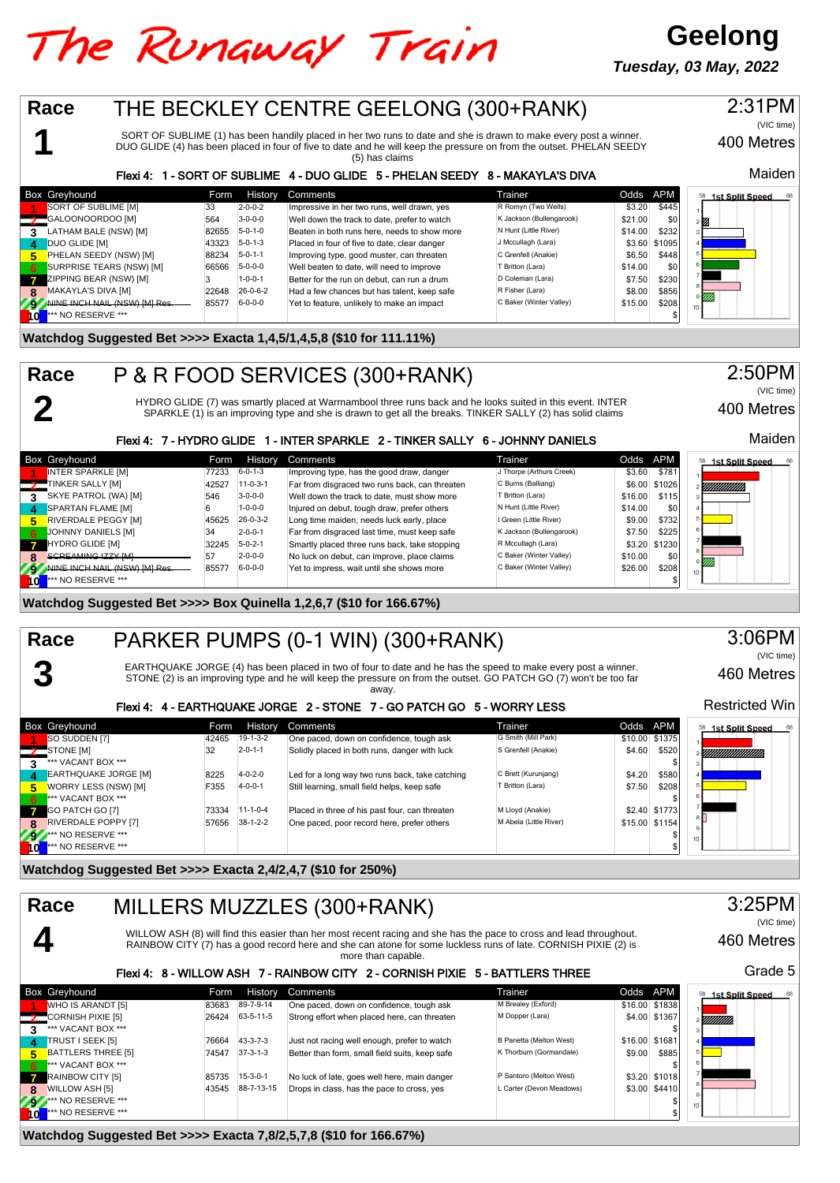# The Runaway Train

**Geelong Tuesday, 03 May, 2022**



### **Watchdog Suggested Bet >>>> Exacta 7,8/2,5,7,8 (\$10 for 166.67%)**

**10** \*\*\* NO RESERVE \*\*\* \$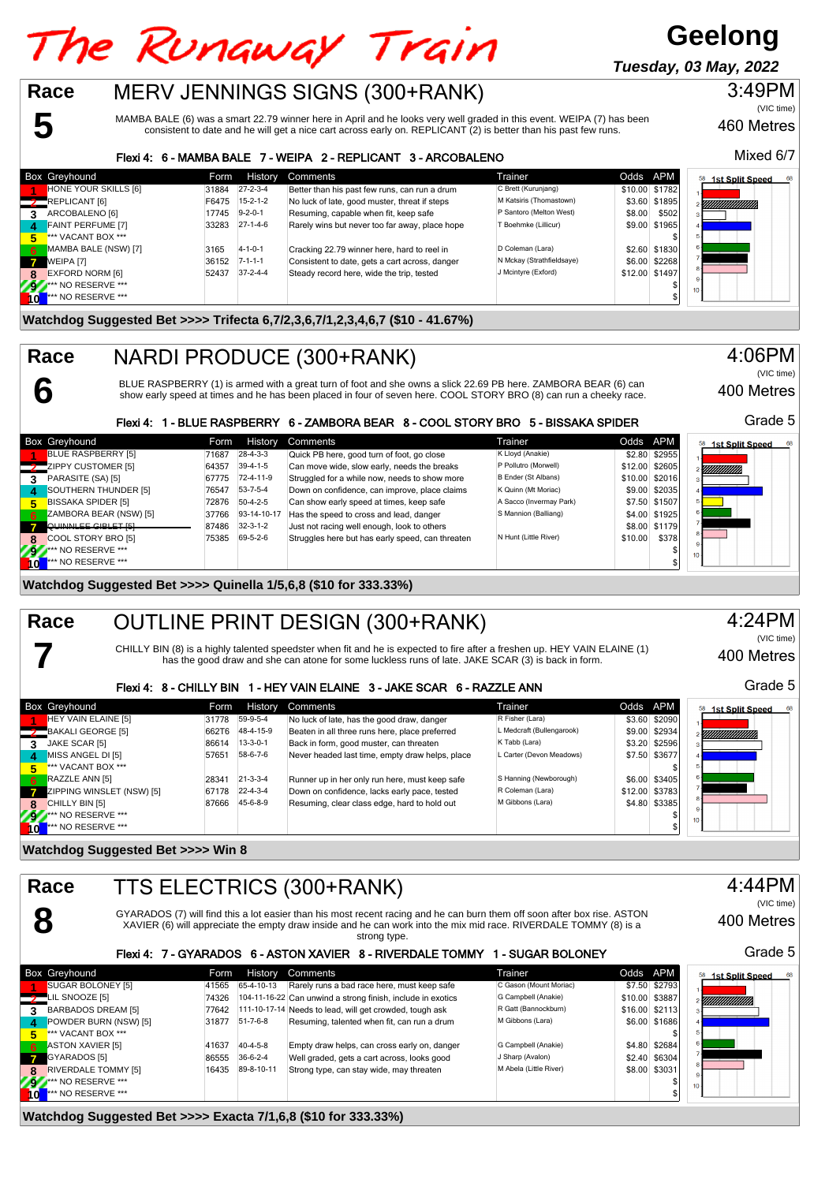### The Runaway Train **Tuesday, 03 May, 2022**MERV JENNINGS SIGNS (300+RANK) **Race** 3:49PM **5**

MAMBA BALE (6) was a smart 22.79 winner here in April and he looks very well graded in this event. WEIPA (7) has been consistent to date and he will get a nice cart across early on. REPLICANT (2) is better than his past few runs.

### Flexi 4: 6 - MAMBA BALE 7 - WEIPA 2 - REPLICANT 3 - ARCOBALENO

|                        | <b>Box Greyhound</b>      | Form  | History          | Comments                                       | Trainer                   | Odds APM       |                | 68<br><b>1st Split Speed</b><br>58 |
|------------------------|---------------------------|-------|------------------|------------------------------------------------|---------------------------|----------------|----------------|------------------------------------|
|                        | HONE YOUR SKILLS [6]      | 31884 | $27 - 2 - 3 - 4$ | Better than his past few runs, can run a drum  | C Brett (Kurunjang)       |                | \$10.00 \$1782 |                                    |
| $\mathcal{I}$          | REPLICANT [6]             | F6475 | $15 - 2 - 1 - 2$ | No luck of late, good muster, threat if steps  | M Katsiris (Thomastown)   |                | \$3.60 \$1895  | <u>Viitiitiitiitiitiit</u>         |
|                        | ARCOBALENO [6]            | 17745 | $9 - 2 - 0 - 1$  | Resuming, capable when fit, keep safe          | P Santoro (Melton West)   | \$8.00         | \$502          |                                    |
| $\boldsymbol{\Lambda}$ | <b>FAINT PERFUME [7]</b>  | 33283 | $27-1-4-6$       | Rarely wins but never too far away, place hope | T Boehmke (Lillicur)      |                | \$9.00 \$1965  |                                    |
| 5.                     | *** VACANT BOX ***        |       |                  |                                                |                           |                |                |                                    |
| -6                     | MAMBA BALE (NSW) [7]      | 3165  | $4 - 1 - 0 - 1$  | Cracking 22.79 winner here, hard to reel in    | D Coleman (Lara)          |                | \$2.60 \$1830  |                                    |
|                        | WEIPA [7]                 | 36152 | $7 - 1 - 1 - 1$  | Consistent to date, gets a cart across, danger | N Mckay (Strathfieldsaye) |                | \$6.00 \$2268  |                                    |
|                        | <b>EXFORD NORM [6]</b>    | 52437 | $37 - 2 - 4 - 4$ | Steady record here, wide the trip, tested      | J Mcintyre (Exford)       | \$12.00 \$1497 |                |                                    |
| 797                    | <b>*** NO RESERVE ***</b> |       |                  |                                                |                           |                |                | 10 <sub>1</sub>                    |
| $\mathbf{0}$           | *** NO RESERVE ***        |       |                  |                                                |                           |                |                |                                    |

**Watchdog Suggested Bet >>>> Trifecta 6,7/2,3,6,7/1,2,3,4,6,7 (\$10 - 41.67%)**

# NARDI PRODUCE (300+RANK)

BLUE RASPBERRY (1) is armed with a great turn of foot and she owns a slick 22.69 PB here. ZAMBORA BEAR (6) can<br>show early speed at times and he has been placed in four of seven here. COOL STORY BRO (8) can run a cheeky rac

### Flexi 4: 1 - BLUE RASPBERRY 6 - ZAMBORA BEAR 8 - COOL STORY BRO 5 - BISSAKA SPIDER

|              | <b>Box Greyhound</b>      | Form  | History          | Comments                                         | Trainer                 | Odds APM |                | 58 1st Split Speed |
|--------------|---------------------------|-------|------------------|--------------------------------------------------|-------------------------|----------|----------------|--------------------|
|              | <b>BLUE RASPBERRY [5]</b> | 71687 | $28 - 4 - 3 - 3$ | Quick PB here, good turn of foot, go close       | K Lloyd (Anakie)        |          | \$2.80 \$2955  |                    |
|              | ZIPPY CUSTOMER [5]        | 64357 | $39-4-1-5$       | Can move wide, slow early, needs the breaks      | P Pollutro (Morwell)    |          | \$12.00 \$2605 | YMMMM)             |
| 3            | PARASITE (SA) [5]         | 67775 | 72-4-11-9        | Struggled for a while now, needs to show more    | B Ender (St Albans)     |          | \$10.00 \$2016 |                    |
|              | SOUTHERN THUNDER [5]      | 76547 | 53-7-5-4         | Down on confidence, can improve, place claims    | K Quinn (Mt Moriac)     |          | \$9.00 \$2035  |                    |
| 5.           | BISSAKA SPIDER [5]        | 72876 | $50-4-2-5$       | Can show early speed at times, keep safe         | A Sacco (Invermay Park) |          | \$7.50 \$1507  |                    |
| 6.           | ZAMBORA BEAR (NSW) [5]    | 37766 | 93-14-10-17      | Has the speed to cross and lead, danger          | S Mannion (Balliang)    |          | \$4.00 \$1925  |                    |
|              | OLIINNI EE GIRLET [5]     | 87486 | $32 - 3 - 1 - 2$ | Just not racing well enough, look to others      |                         |          | \$8.00 \$1179  |                    |
|              | COOL STORY BRO [5]        | 75385 | 69-5-2-6         | Struggles here but has early speed, can threaten | N Hunt (Little River)   | \$10.00  | \$378          |                    |
| 22           | <b>*** NO RESERVE ***</b> |       |                  |                                                  |                         |          |                | 10 <sup>10</sup>   |
| $\mathbf{0}$ | *** NO RESERVE ***        |       |                  |                                                  |                         |          |                |                    |

**Watchdog Suggested Bet >>>> Quinella 1/5,6,8 (\$10 for 333.33%)**

#### OUTLINE PRINT DESIGN (300+RANK) **Race**

CHILLY BIN (8) is a highly talented speedster when fit and he is expected to fire after a freshen up. HEY VAIN ELAINE (1) has the good draw and she can atone for some luckless runs of late. JAKE SCAR (3) is back in form.

### Flexi 4: 8 - CHILLY BIN 1 - HEY VAIN ELAINE 3 - JAKE SCAR 6 - RAZZLE ANN

|           | Box Greyhound             | Form  | History          | Comments                                        | Trainer                   | Odds APM |                | 68<br><b>1st Split Speed</b><br>58 |
|-----------|---------------------------|-------|------------------|-------------------------------------------------|---------------------------|----------|----------------|------------------------------------|
|           | HEY VAIN ELAINE [5]       | 31778 | 59-9-5-4         | No luck of late, has the good draw, danger      | R Fisher (Lara)           |          | \$3.60 \$2090  |                                    |
|           | BAKALI GEORGE [5]         | 662T6 | 48-4-15-9        | Beaten in all three runs here, place preferred  | L Medcraft (Bullengarook) |          | \$9.00 \$2934  | Y <i>MMMMMMM</i>                   |
| ?         | JAKE SCAR [5]             | 86614 | $13 - 3 - 0 - 1$ | Back in form, good muster, can threaten         | K Tabb (Lara)             |          | \$3.20 \$2596  |                                    |
| 4         | MISS ANGEL DI [5]         | 57651 | 58-6-7-6         | Never headed last time, empty draw helps, place | L Carter (Devon Meadows)  |          | \$7.50 \$3677  |                                    |
| 5.        | *** VACANT BOX ***        |       |                  |                                                 |                           |          |                |                                    |
| 6         | RAZZLE ANN [5]            | 28341 | $21 - 3 - 3 - 4$ | Runner up in her only run here, must keep safe  | S Hanning (Newborough)    |          | \$6.00 \$3405  |                                    |
|           | ZIPPING WINSLET (NSW) [5] | 67178 | $22 - 4 - 3 - 4$ | Down on confidence, lacks early pace, tested    | R Coleman (Lara)          |          | \$12.00 \$3783 |                                    |
|           | CHILLY BIN [5]            | 87666 | 45-6-8-9         | Resuming, clear class edge, hard to hold out    | M Gibbons (Lara)          |          | \$4.80 \$3385  |                                    |
| <b>AV</b> | <b>*** NO RESERVE ***</b> |       |                  |                                                 |                           |          |                | 10 <sup>10</sup>                   |
|           | *** NO RESERVE ***        |       |                  |                                                 |                           |          |                |                                    |

**Watchdog Suggested Bet >>>> Win 8**

**6**

**7**

**Race**

| Race<br>TTS ELECTRICS (300+RANK) |                                                                                                                                                                                                                                                              |       |                  |                                                             |                        |          |                |                        |
|----------------------------------|--------------------------------------------------------------------------------------------------------------------------------------------------------------------------------------------------------------------------------------------------------------|-------|------------------|-------------------------------------------------------------|------------------------|----------|----------------|------------------------|
|                                  | GYARADOS (7) will find this a lot easier than his most recent racing and he can burn them off soon after box rise. ASTON<br>XAVIER (6) will appreciate the empty draw inside and he can work into the mix mid race. RIVERDALE TOMMY (8) is a<br>strong type. |       |                  |                                                             |                        |          |                |                        |
|                                  |                                                                                                                                                                                                                                                              |       |                  | Flexi 4: 7 - GYARADOS 6 - ASTON XAVIER 8 - RIVERDALE TOMMY  | - SUGAR BOLONEY        |          |                | Grade 5                |
|                                  |                                                                                                                                                                                                                                                              |       |                  |                                                             |                        |          |                |                        |
|                                  | <b>Box Greyhound</b>                                                                                                                                                                                                                                         | Form  | <b>History</b>   | Comments                                                    | Trainer                | Odds APM |                | <b>1st Split Speed</b> |
|                                  | <b>SUGAR BOLONEY [5]</b>                                                                                                                                                                                                                                     | 41565 | 65-4-10-13       | Rarely runs a bad race here, must keep safe                 | C Gason (Mount Moriac) |          | \$7.50 \$2793  |                        |
|                                  | $\sqrt{2}$ LIL SNOOZE [5]                                                                                                                                                                                                                                    | 74326 |                  | 104-11-16-22 Can unwind a strong finish, include in exotics | G Campbell (Anakie)    |          | \$10.00 \$3887 |                        |
| $\mathbf{R}$                     | BARBADOS DREAM [5]                                                                                                                                                                                                                                           | 77642 |                  | 111-10-17-14 Needs to lead, will get crowded, tough ask     | R Gatt (Bannockburn)   |          | \$16.00 \$2113 | Y <i>MMMMMM</i>        |
| $\mathbf{A}$                     | POWDER BURN (NSW) [5]                                                                                                                                                                                                                                        | 31877 | $51 - 7 - 6 - 8$ | Resuming, talented when fit, can run a drum                 | M Gibbons (Lara)       |          | \$6.00 \$1686  |                        |
| 5.                               | *** VACANT BOX ***                                                                                                                                                                                                                                           |       |                  |                                                             |                        |          |                |                        |
| 6                                | <b>ASTON XAVIER [5]</b>                                                                                                                                                                                                                                      | 41637 | 40-4-5-8         | Empty draw helps, can cross early on, danger                | G Campbell (Anakie)    |          | \$4.80 \$2684  |                        |

**RIVERDALE TOMMY [5]** 16435 89-8-10-11 Strong type, can stay wide, may threaten M Abela (Little River) \$8.00 \$3031<br>\*\*\* NO RESERVE \*\*\* **9 \*\*\*** NO RESERVE \*\*\* \$ **10** \*\*\* NO RESERVE \*\*\* \$

**Watchdog Suggested Bet >>>> Exacta 7/1,6,8 (\$10 for 333.33%)**

## 460 Metres Mixed 6/7

(VIC time)





400 Metres

Grade 5

(VIC time)

4:24PM

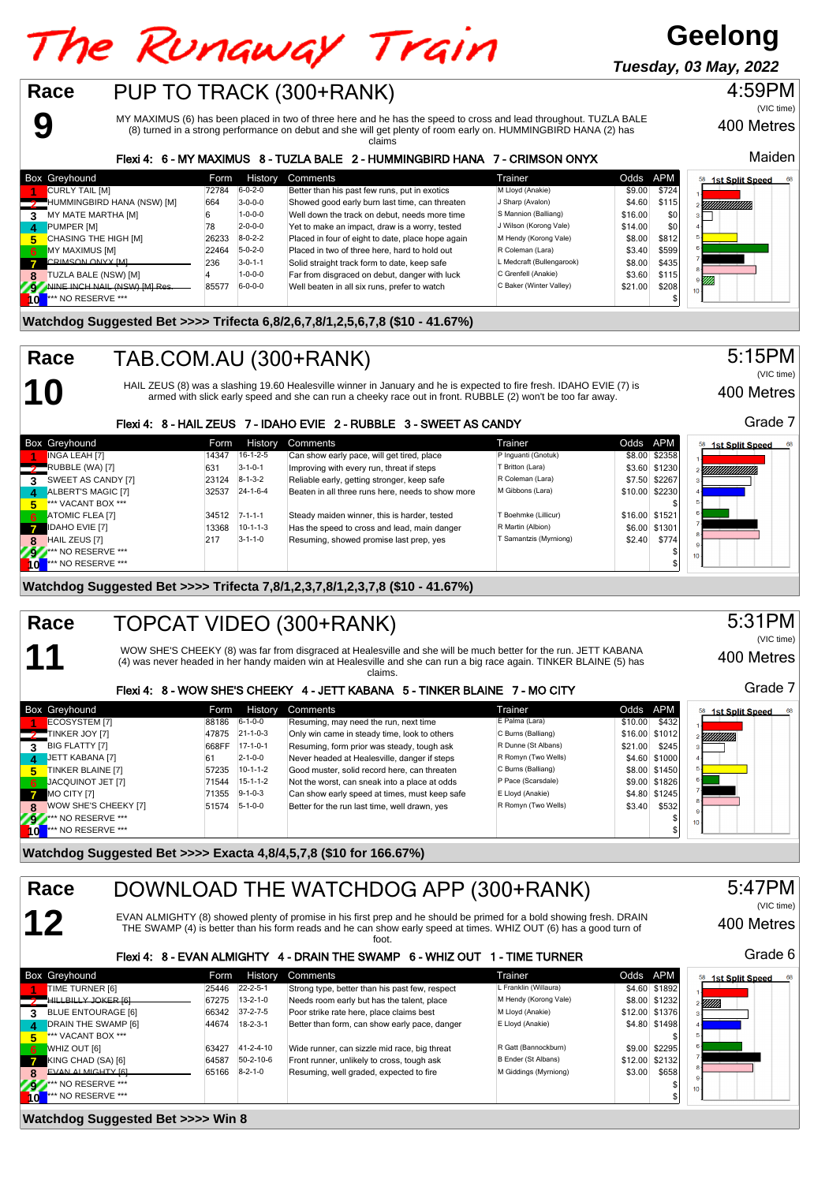# The Runaway Train

**Geelong**

**Tuesday, 03 May, 2022**



**9**

**10**

**11**

MY MAXIMUS (6) has been placed in two of three here and he has the speed to cross and lead throughout. TUZLA BALE (8) turned in a strong performance on debut and she will get plenty of room early on. HUMMINGBIRD HANA (2) has claims

### Flexi 4: 6 - MY MAXIMUS 8 - TUZLA BALE 2 - HUMMINGBIRD HANA 7 - CRIMSON ONYX

|     | <b>Box Greyhound</b>         | Form. | History         | Comments                                          | Trainer                   | Odds APM |                  | <b>1st Split Speed</b><br>68 |
|-----|------------------------------|-------|-----------------|---------------------------------------------------|---------------------------|----------|------------------|------------------------------|
|     | <b>CURLY TAIL [M]</b>        | 72784 | $6 - 0 - 2 - 0$ | Better than his past few runs, put in exotics     | M Lloyd (Anakie)          | \$9.00   | \$724            |                              |
|     | HUMMINGBIRD HANA (NSW) [M]   | 664   | $3 - 0 - 0 - 0$ | Showed good early burn last time, can threaten    | J Sharp (Avalon)          | \$4.60   | \$115            | YMMMMM).                     |
|     | MY MATE MARTHA [M]           |       | $1 - 0 - 0 - 0$ | Well down the track on debut, needs more time     | S Mannion (Balliang)      | \$16.00  | \$0 <sub>1</sub> |                              |
| 4   | PUMPER [M]                   | 78    | $2 - 0 - 0 - 0$ | Yet to make an impact, draw is a worry, tested    | J Wilson (Korong Vale)    | \$14.00  | \$0              |                              |
| 5.  | CHASING THE HIGH [M]         | 26233 | $8 - 0 - 2 - 2$ | Placed in four of eight to date, place hope again | M Hendy (Korong Vale)     | \$8.00   | \$812            |                              |
| - 6 | MY MAXIMUS [M]               | 22464 | $5-0-2-0$       | Placed in two of three here, hard to hold out     | R Coleman (Lara)          | \$3.40   | \$599            |                              |
|     | <b>CRIMSON ONYX IMI</b>      | 236   | $3 - 0 - 1 - 1$ | Solid straight track form to date, keep safe      | L Medcraft (Bullengarook) | \$8.00   | \$435            |                              |
| 8   | <b>FUZLA BALE (NSW) [M]</b>  |       | $1 - 0 - 0 - 0$ | Far from disgraced on debut, danger with luck     | C Grenfell (Anakie)       | \$3.60   | \$115            | .<br>Mh                      |
| 29  | NINE INCH NAIL (NSW) IMI Res | 85577 | $6 - 0 - 0 - 0$ | Well beaten in all six runs, prefer to watch      | C Baker (Winter Valley)   | \$21.00  | \$208            |                              |
|     | *** NO RESERVE ***           |       |                 |                                                   |                           |          |                  |                              |

### **Watchdog Suggested Bet >>>> Trifecta 6,8/2,6,7,8/1,2,5,6,7,8 (\$10 - 41.67%)**

#### TAB.COM.AU (300+RANK) **Race**

HAIL ZEUS (8) was a slashing 19.60 Healesville winner in January and he is expected to fire fresh. IDAHO EVIE (7) is armed with slick early speed and she can run a cheeky race out in front. RUBBLE (2) won't be too far away.

(VIC time)

400 Metres

### Flexi 4: 8 - HAIL ZEUS 7 - IDAHO EVIE 2 - RUBBLE 3 - SWEET AS CANDY

|     | <b>Box Greyhound</b>      | <b>Form</b> | <b>History</b>   | Comments                                          | Trainer                | Odds APM |                | 68<br>1st Split Speed |
|-----|---------------------------|-------------|------------------|---------------------------------------------------|------------------------|----------|----------------|-----------------------|
|     | <b>INGA LEAH [7]</b>      | 14347       | $16-1-2-5$       | Can show early pace, will get tired, place        | P Inquanti (Gnotuk)    |          | \$8.00 \$2358  |                       |
|     | RUBBLE (WA) [7]           | 631         | $3 - 1 - 0 - 1$  | Improving with every run, threat if steps         | T Britton (Lara)       |          | \$3.60 \$1230  | YMMMMMM.              |
| 3   | SWEET AS CANDY [7]        | 23124       | $8 - 1 - 3 - 2$  | Reliable early, getting stronger, keep safe       | R Coleman (Lara)       |          | \$7.50 \$2267  |                       |
| 4   | ALBERT'S MAGIC [7]        | 32537       | $24 - 1 - 6 - 4$ | Beaten in all three runs here, needs to show more | M Gibbons (Lara)       |          | \$10.00 \$2230 |                       |
| 5.  | *** VACANT BOX ***        |             |                  |                                                   |                        |          |                |                       |
| 6   | <b>ATOMIC FLEA [7]</b>    | 34512       | $7 - 1 - 1 - 1$  | Steady maiden winner, this is harder, tested      | T Boehmke (Lillicur)   |          | \$16.00 \$1521 |                       |
|     | <b>IDAHO EVIE [7]</b>     | 13368       | $10-1-1-3$       | Has the speed to cross and lead, main danger      | R Martin (Albion)      |          | \$6.00 \$1301  |                       |
| 8   | HAIL ZEUS [7]             | 217         | $3 - 1 - 1 - 0$  | Resuming, showed promise last prep, yes           | T Samantzis (Myrniong) | \$2.40   | \$774          |                       |
| 297 | <b>*** NO RESERVE ***</b> |             |                  |                                                   |                        |          |                | 10 <sup>1</sup>       |
| ĪО  | *** NO RESERVE ***        |             |                  |                                                   |                        |          |                |                       |

### **Watchdog Suggested Bet >>>> Trifecta 7,8/1,2,3,7,8/1,2,3,7,8 (\$10 - 41.67%)**

### TOPCAT VIDEO (300+RANK) **Race**

WOW SHE'S CHEEKY (8) was far from disgraced at Healesville and she will be much better for the run. JETT KABANA (4) was never headed in her handy maiden win at Healesville and she can run a big race again. TINKER BLAINE (5) has claims.

### Flexi 4: 8 - WOW SHE'S CHEEKY 4 - JETT KABANA 5 - TINKER BLAINE 7 - MO CITY

|           | Box Greyhound                 | Form  | History          | Comments                                      | Trainer             | Odds APM |                | 1st Split Speed<br>68 |
|-----------|-------------------------------|-------|------------------|-----------------------------------------------|---------------------|----------|----------------|-----------------------|
|           | <b>ECOSYSTEM [7]</b>          | 88186 | $6 - 1 - 0 - 0$  | Resuming, may need the run, next time         | E Palma (Lara)      | \$10.00  | \$432          |                       |
|           | TINKER JOY [7]                | 47875 | $21 - 1 - 0 - 3$ | Only win came in steady time, look to others  | C Burns (Balliang)  |          | \$16.00 \$1012 | <i>Allittitti</i> n   |
| 3         | <b>BIG FLATTY [7]</b>         | 668FF | $17-1-0-1$       | Resuming, form prior was steady, tough ask    | R Dunne (St Albans) | \$21.00  | \$245          |                       |
| 4.        | JETT KABANA [7]               | 61    | $2 - 1 - 0 - 0$  | Never headed at Healesville, danger if steps  | R Romyn (Two Wells) |          | \$4.60 \$1000  |                       |
| 5.        | TINKER BLAINE [7]             | 57235 | $10-1-1-2$       | Good muster, solid record here, can threaten  | C Burns (Balliang)  |          | \$8.00 \$1450  |                       |
| 6         | JACQUINOT JET [7]             | 71544 | $15-1-1-2$       | Not the worst, can sneak into a place at odds | P Pace (Scarsdale)  |          | \$9.00 \$1826  |                       |
|           | MO CITY [7]                   | 71355 | $9 - 1 - 0 - 3$  | Can show early speed at times, must keep safe | E Lloyd (Anakie)    |          | \$4.80 \$1245  |                       |
| 8         | WOW SHE'S CHEEKY [7]          | 51574 | $5 - 1 - 0 - 0$  | Better for the run last time, well drawn, yes | R Romyn (Two Wells) | \$3.40   | \$532          |                       |
| <b>AV</b> | <b>Att NO RESERVE ***</b>     |       |                  |                                               |                     |          |                | $10 +$                |
|           | <sup>***</sup> NO RESERVE *** |       |                  |                                               |                     |          |                |                       |

**Watchdog Suggested Bet >>>> Exacta 4,8/4,5,7,8 (\$10 for 166.67%)**



**9 \*\*\*** NO RESERVE \*\*\* \$ **100 \*\*\* NO RESERVE \*\*\*** \$

### **Watchdog Suggested Bet >>>> Win 8**

5:15PM

400 Metres

Maiden

(VIC time)

4:59PM



5:31PM (VIC time)

400 Metres

Grade 7